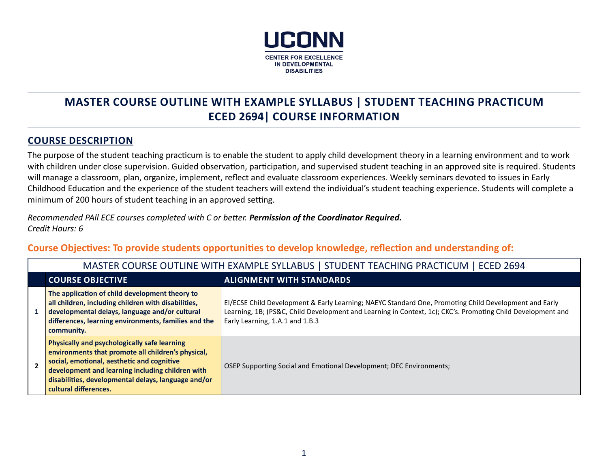

# **MASTER COURSE OUTLINE WITH EXAMPLE SYLLABUS | STUDENT TEACHING PRACTICUM ECED 2694| COURSE INFORMATION**

### **COURSE DESCRIPTION**

The purpose of the student teaching practicum is to enable the student to apply child development theory in a learning environment and to work with children under close supervision. Guided observation, participation, and supervised student teaching in an approved site is required. Students will manage a classroom, plan, organize, implement, reflect and evaluate classroom experiences. Weekly seminars devoted to issues in Early Childhood Education and the experience of the student teachers will extend the individual's student teaching experience. Students will complete a minimum of 200 hours of student teaching in an approved setting.

*Recommended PAll ECE courses completed with C or better. Permission of the Coordinator Required. Credit Hours: 6*

**Course Objectives: To provide students opportunities to develop knowledge, reflection and understanding of:**

| MASTER COURSE OUTLINE WITH EXAMPLE SYLLABUS   STUDENT TEACHING PRACTICUM   ECED 2694                                                                                                                                                                                                        |                                                                                                                                                                                                                                                         |  |  |
|---------------------------------------------------------------------------------------------------------------------------------------------------------------------------------------------------------------------------------------------------------------------------------------------|---------------------------------------------------------------------------------------------------------------------------------------------------------------------------------------------------------------------------------------------------------|--|--|
| <b>COURSE OBJECTIVE</b><br><b>ALIGNMENT WITH STANDARDS</b>                                                                                                                                                                                                                                  |                                                                                                                                                                                                                                                         |  |  |
| The application of child development theory to<br>all children, including children with disabilities,<br>developmental delays, language and/or cultural<br>differences, learning environments, families and the<br>community.                                                               | EI/ECSE Child Development & Early Learning; NAEYC Standard One, Promoting Child Development and Early<br>Learning, 1B; (PS&C, Child Development and Learning in Context, 1c); CKC's. Promoting Child Development and<br>Early Learning, 1.A.1 and 1.B.3 |  |  |
| <b>Physically and psychologically safe learning</b><br>environments that promote all children's physical,<br>social, emotional, aesthetic and cognitive<br>development and learning including children with<br>disabilities, developmental delays, language and/or<br>cultural differences. | OSEP Supporting Social and Emotional Development; DEC Environments;                                                                                                                                                                                     |  |  |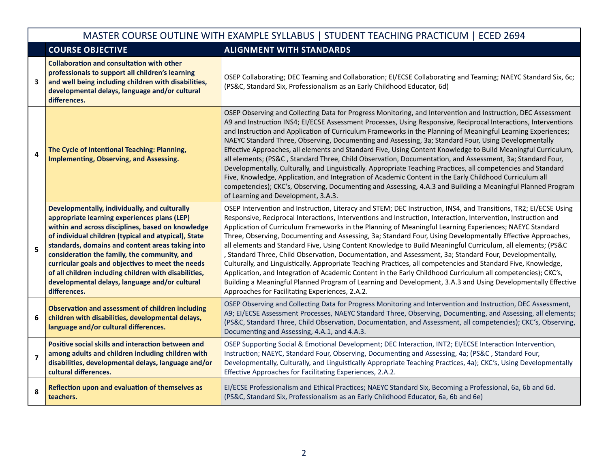|                         | MASTER COURSE OUTLINE WITH EXAMPLE SYLLABUS   STUDENT TEACHING PRACTICUM   ECED 2694                                                                                                                                                                                                                                                                                                                                                                                                           |                                                                                                                                                                                                                                                                                                                                                                                                                                                                                                                                                                                                                                                                                                                                                                                                                                                                                                                                                                                                                                                                                             |  |  |
|-------------------------|------------------------------------------------------------------------------------------------------------------------------------------------------------------------------------------------------------------------------------------------------------------------------------------------------------------------------------------------------------------------------------------------------------------------------------------------------------------------------------------------|---------------------------------------------------------------------------------------------------------------------------------------------------------------------------------------------------------------------------------------------------------------------------------------------------------------------------------------------------------------------------------------------------------------------------------------------------------------------------------------------------------------------------------------------------------------------------------------------------------------------------------------------------------------------------------------------------------------------------------------------------------------------------------------------------------------------------------------------------------------------------------------------------------------------------------------------------------------------------------------------------------------------------------------------------------------------------------------------|--|--|
|                         | <b>COURSE OBJECTIVE</b>                                                                                                                                                                                                                                                                                                                                                                                                                                                                        | <b>ALIGNMENT WITH STANDARDS</b>                                                                                                                                                                                                                                                                                                                                                                                                                                                                                                                                                                                                                                                                                                                                                                                                                                                                                                                                                                                                                                                             |  |  |
| 3                       | <b>Collaboration and consultation with other</b><br>professionals to support all children's learning<br>and well being including children with disabilities,<br>developmental delays, language and/or cultural<br>differences.                                                                                                                                                                                                                                                                 | OSEP Collaborating; DEC Teaming and Collaboration; EI/ECSE Collaborating and Teaming; NAEYC Standard Six, 6c;<br>(PS&C, Standard Six, Professionalism as an Early Childhood Educator, 6d)                                                                                                                                                                                                                                                                                                                                                                                                                                                                                                                                                                                                                                                                                                                                                                                                                                                                                                   |  |  |
| $\overline{\mathbf{4}}$ | The Cycle of Intentional Teaching: Planning,<br>Implementing, Observing, and Assessing.                                                                                                                                                                                                                                                                                                                                                                                                        | OSEP Observing and Collecting Data for Progress Monitoring, and Intervention and Instruction, DEC Assessment<br>A9 and Instruction INS4; EI/ECSE Assessment Processes, Using Responsive, Reciprocal Interactions, Interventions<br>and Instruction and Application of Curriculum Frameworks in the Planning of Meaningful Learning Experiences;<br>NAEYC Standard Three, Observing, Documenting and Assessing, 3a; Standard Four, Using Developmentally<br>Effective Approaches, all elements and Standard Five, Using Content Knowledge to Build Meaningful Curriculum,<br>all elements; (PS&C, Standard Three, Child Observation, Documentation, and Assessment, 3a; Standard Four,<br>Developmentally, Culturally, and Linguistically. Appropriate Teaching Practices, all competencies and Standard<br>Five, Knowledge, Application, and Integration of Academic Content in the Early Childhood Curriculum all<br>competencies); CKC's, Observing, Documenting and Assessing, 4.A.3 and Building a Meaningful Planned Program<br>of Learning and Development, 3.A.3.                    |  |  |
| 5                       | Developmentally, individually, and culturally<br>appropriate learning experiences plans (LEP)<br>within and across disciplines, based on knowledge<br>of individual children (typical and atypical), State<br>standards, domains and content areas taking into<br>consideration the family, the community, and<br>curricular goals and objectives to meet the needs<br>of all children including children with disabilities,<br>developmental delays, language and/or cultural<br>differences. | OSEP Intervention and Instruction, Literacy and STEM; DEC Instruction, INS4, and Transitions, TR2; EI/ECSE Using<br>Responsive, Reciprocal Interactions, Interventions and Instruction, Interaction, Intervention, Instruction and<br>Application of Curriculum Frameworks in the Planning of Meaningful Learning Experiences; NAEYC Standard<br>Three, Observing, Documenting and Assessing, 3a; Standard Four, Using Developmentally Effective Approaches,<br>all elements and Standard Five, Using Content Knowledge to Build Meaningful Curriculum, all elements; (PS&C<br>, Standard Three, Child Observation, Documentation, and Assessment, 3a; Standard Four, Developmentally,<br>Culturally, and Linguistically. Appropriate Teaching Practices, all competencies and Standard Five, Knowledge,<br>Application, and Integration of Academic Content in the Early Childhood Curriculum all competencies); CKC's,<br>Building a Meaningful Planned Program of Learning and Development, 3.A.3 and Using Developmentally Effective<br>Approaches for Facilitating Experiences, 2.A.2. |  |  |
| 6                       | <b>Observation and assessment of children including</b><br>children with disabilities, developmental delays,<br>language and/or cultural differences.                                                                                                                                                                                                                                                                                                                                          | OSEP Observing and Collecting Data for Progress Monitoring and Intervention and Instruction, DEC Assessment,<br>A9; EI/ECSE Assessment Processes, NAEYC Standard Three, Observing, Documenting, and Assessing, all elements;<br>(PS&C, Standard Three, Child Observation, Documentation, and Assessment, all competencies); CKC's, Observing,<br>Documenting and Assessing, 4.A.1, and 4.A.3.                                                                                                                                                                                                                                                                                                                                                                                                                                                                                                                                                                                                                                                                                               |  |  |
| $\overline{7}$          | Positive social skills and interaction between and<br>among adults and children including children with<br>disabilities, developmental delays, language and/or<br>cultural differences.                                                                                                                                                                                                                                                                                                        | OSEP Supporting Social & Emotional Development; DEC Interaction, INT2; EI/ECSE Interaction Intervention,<br>Instruction; NAEYC, Standard Four, Observing, Documenting and Assessing, 4a; (PS&C, Standard Four,<br>Developmentally, Culturally, and Linguistically Appropriate Teaching Practices, 4a); CKC's, Using Developmentally<br>Effective Approaches for Facilitating Experiences, 2.A.2.                                                                                                                                                                                                                                                                                                                                                                                                                                                                                                                                                                                                                                                                                            |  |  |
| 8                       | Reflection upon and evaluation of themselves as<br>teachers.                                                                                                                                                                                                                                                                                                                                                                                                                                   | EI/ECSE Professionalism and Ethical Practices; NAEYC Standard Six, Becoming a Professional, 6a, 6b and 6d.<br>(PS&C, Standard Six, Professionalism as an Early Childhood Educator, 6a, 6b and 6e)                                                                                                                                                                                                                                                                                                                                                                                                                                                                                                                                                                                                                                                                                                                                                                                                                                                                                           |  |  |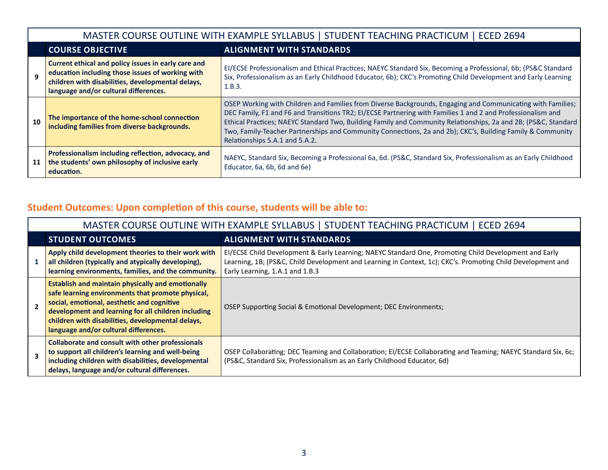|    |                                                                                                                                                                                                       | MASTER COURSE OUTLINE WITH EXAMPLE SYLLABUS   STUDENT TEACHING PRACTICUM   ECED 2694                                                                                                                                                                                                                                                                                                                                                                                                         |  |
|----|-------------------------------------------------------------------------------------------------------------------------------------------------------------------------------------------------------|----------------------------------------------------------------------------------------------------------------------------------------------------------------------------------------------------------------------------------------------------------------------------------------------------------------------------------------------------------------------------------------------------------------------------------------------------------------------------------------------|--|
|    | <b>COURSE OBJECTIVE</b><br><b>ALIGNMENT WITH STANDARDS</b>                                                                                                                                            |                                                                                                                                                                                                                                                                                                                                                                                                                                                                                              |  |
|    | Current ethical and policy issues in early care and<br>education including those issues of working with<br>children with disabilities, developmental delays,<br>language and/or cultural differences. | EI/ECSE Professionalism and Ethical Practices; NAEYC Standard Six, Becoming a Professional, 6b; (PS&C Standard<br>Six, Professionalism as an Early Childhood Educator, 6b); CKC's Promoting Child Development and Early Learning<br>1.B.3.                                                                                                                                                                                                                                                   |  |
| 10 | The importance of the home-school connection<br>including families from diverse backgrounds.                                                                                                          | OSEP Working with Children and Families from Diverse Backgrounds, Engaging and Communicating with Families;<br>DEC Family, F1 and F6 and Transitions TR2; EI/ECSE Partnering with Families 1 and 2 and Professionalism and<br>Ethical Practices; NAEYC Standard Two, Building Family and Community Relationships, 2a and 2B; (PS&C, Standard<br>Two, Family-Teacher Partnerships and Community Connections, 2a and 2b); CKC's, Building Family & Community<br>Relationships 5.A.1 and 5.A.2. |  |
| 11 | Professionalism including reflection, advocacy, and<br>the students' own philosophy of inclusive early<br>education.                                                                                  | NAEYC, Standard Six, Becoming a Professional 6a, 6d. (PS&C, Standard Six, Professionalism as an Early Childhood<br>Educator, 6a, 6b, 6d and 6e)                                                                                                                                                                                                                                                                                                                                              |  |

# **Student Outcomes: Upon completion of this course, students will be able to:**

|                          | MASTER COURSE OUTLINE WITH EXAMPLE SYLLABUS   STUDENT TEACHING PRACTICUM   ECED 2694                                                                                                                                                                                                                             |                                                                                                                                                                                                                                                         |  |  |
|--------------------------|------------------------------------------------------------------------------------------------------------------------------------------------------------------------------------------------------------------------------------------------------------------------------------------------------------------|---------------------------------------------------------------------------------------------------------------------------------------------------------------------------------------------------------------------------------------------------------|--|--|
|                          | <b>STUDENT OUTCOMES</b>                                                                                                                                                                                                                                                                                          | <b>ALIGNMENT WITH STANDARDS</b>                                                                                                                                                                                                                         |  |  |
|                          | Apply child development theories to their work with<br>all children (typically and atypically developing),<br>learning environments, families, and the community.                                                                                                                                                | EI/ECSE Child Development & Early Learning; NAEYC Standard One, Promoting Child Development and Early<br>Learning, 1B; (PS&C, Child Development and Learning in Context, 1c); CKC's. Promoting Child Development and<br>Early Learning, 1.A.1 and 1.B.3 |  |  |
| $\overline{\phantom{a}}$ | <b>Establish and maintain physically and emotionally</b><br>safe learning environments that promote physical,<br>social, emotional, aesthetic and cognitive<br>development and learning for all children including<br>children with disabilities, developmental delays,<br>language and/or cultural differences. | OSEP Supporting Social & Emotional Development; DEC Environments;                                                                                                                                                                                       |  |  |
|                          | <b>Collaborate and consult with other professionals</b><br>to support all children's learning and well-being<br>including children with disabilities, developmental<br>delays, language and/or cultural differences.                                                                                             | OSEP Collaborating; DEC Teaming and Collaboration; EI/ECSE Collaborating and Teaming; NAEYC Standard Six, 6c;<br>(PS&C, Standard Six, Professionalism as an Early Childhood Educator, 6d)                                                               |  |  |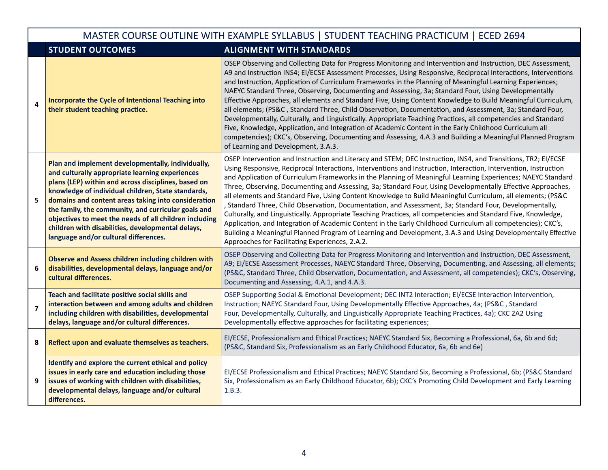|                         | MASTER COURSE OUTLINE WITH EXAMPLE SYLLABUS   STUDENT TEACHING PRACTICUM   ECED 2694                                                                                                                                                                                                                                                                                                                                                                                                    |                                                                                                                                                                                                                                                                                                                                                                                                                                                                                                                                                                                                                                                                                                                                                                                                                                                                                                                                                                                                                                                                                                |  |  |
|-------------------------|-----------------------------------------------------------------------------------------------------------------------------------------------------------------------------------------------------------------------------------------------------------------------------------------------------------------------------------------------------------------------------------------------------------------------------------------------------------------------------------------|------------------------------------------------------------------------------------------------------------------------------------------------------------------------------------------------------------------------------------------------------------------------------------------------------------------------------------------------------------------------------------------------------------------------------------------------------------------------------------------------------------------------------------------------------------------------------------------------------------------------------------------------------------------------------------------------------------------------------------------------------------------------------------------------------------------------------------------------------------------------------------------------------------------------------------------------------------------------------------------------------------------------------------------------------------------------------------------------|--|--|
|                         | <b>STUDENT OUTCOMES</b>                                                                                                                                                                                                                                                                                                                                                                                                                                                                 | <b>ALIGNMENT WITH STANDARDS</b>                                                                                                                                                                                                                                                                                                                                                                                                                                                                                                                                                                                                                                                                                                                                                                                                                                                                                                                                                                                                                                                                |  |  |
| 4                       | Incorporate the Cycle of Intentional Teaching into<br>their student teaching practice.                                                                                                                                                                                                                                                                                                                                                                                                  | OSEP Observing and Collecting Data for Progress Monitoring and Intervention and Instruction, DEC Assessment,<br>A9 and Instruction INS4; EI/ECSE Assessment Processes, Using Responsive, Reciprocal Interactions, Interventions<br>and Instruction, Application of Curriculum Frameworks in the Planning of Meaningful Learning Experiences;<br>NAEYC Standard Three, Observing, Documenting and Assessing, 3a; Standard Four, Using Developmentally<br>Effective Approaches, all elements and Standard Five, Using Content Knowledge to Build Meaningful Curriculum,<br>all elements; (PS&C, Standard Three, Child Observation, Documentation, and Assessment, 3a; Standard Four,<br>Developmentally, Culturally, and Linguistically. Appropriate Teaching Practices, all competencies and Standard<br>Five, Knowledge, Application, and Integration of Academic Content in the Early Childhood Curriculum all<br>competencies); CKC's, Observing, Documenting and Assessing, 4.A.3 and Building a Meaningful Planned Program<br>of Learning and Development, 3.A.3.                          |  |  |
| 5                       | Plan and implement developmentally, individually,<br>and culturally appropriate learning experiences<br>plans (LEP) within and across disciplines, based on<br>knowledge of individual children, State standards,<br>domains and content areas taking into consideration<br>the family, the community, and curricular goals and<br>objectives to meet the needs of all children including<br>children with disabilities, developmental delays,<br>language and/or cultural differences. | OSEP Intervention and Instruction and Literacy and STEM; DEC Instruction, INS4, and Transitions, TR2; EI/ECSE<br>Using Responsive, Reciprocal Interactions, Interventions and Instruction, Interaction, Intervention, Instruction<br>and Application of Curriculum Frameworks in the Planning of Meaningful Learning Experiences; NAEYC Standard<br>Three, Observing, Documenting and Assessing, 3a; Standard Four, Using Developmentally Effective Approaches,<br>all elements and Standard Five, Using Content Knowledge to Build Meaningful Curriculum, all elements; (PS&C<br>, Standard Three, Child Observation, Documentation, and Assessment, 3a; Standard Four, Developmentally,<br>Culturally, and Linguistically. Appropriate Teaching Practices, all competencies and Standard Five, Knowledge,<br>Application, and Integration of Academic Content in the Early Childhood Curriculum all competencies); CKC's,<br>Building a Meaningful Planned Program of Learning and Development, 3.A.3 and Using Developmentally Effective<br>Approaches for Facilitating Experiences, 2.A.2. |  |  |
| 6                       | <b>Observe and Assess children including children with</b><br>disabilities, developmental delays, language and/or<br>cultural differences.                                                                                                                                                                                                                                                                                                                                              | OSEP Observing and Collecting Data for Progress Monitoring and Intervention and Instruction, DEC Assessment,<br>A9; EI/ECSE Assessment Processes, NAEYC Standard Three, Observing, Documenting, and Assessing, all elements;<br>(PS&C, Standard Three, Child Observation, Documentation, and Assessment, all competencies); CKC's, Observing,<br>Documenting and Assessing, 4.A.1, and 4.A.3.                                                                                                                                                                                                                                                                                                                                                                                                                                                                                                                                                                                                                                                                                                  |  |  |
| $\overline{\mathbf{z}}$ | Teach and facilitate positive social skills and<br>interaction between and among adults and children<br>including children with disabilities, developmental<br>delays, language and/or cultural differences.                                                                                                                                                                                                                                                                            | OSEP Supporting Social & Emotional Development; DEC INT2 Interaction; EI/ECSE Interaction Intervention,<br>Instruction; NAEYC Standard Four, Using Developmentally Effective Approaches, 4a; (PS&C, Standard<br>Four, Developmentally, Culturally, and Linguistically Appropriate Teaching Practices, 4a); CKC 2A2 Using<br>Developmentally effective approaches for facilitating experiences;                                                                                                                                                                                                                                                                                                                                                                                                                                                                                                                                                                                                                                                                                                 |  |  |
| 8                       | Reflect upon and evaluate themselves as teachers.                                                                                                                                                                                                                                                                                                                                                                                                                                       | EI/ECSE, Professionalism and Ethical Practices; NAEYC Standard Six, Becoming a Professional, 6a, 6b and 6d;<br>(PS&C, Standard Six, Professionalism as an Early Childhood Educator, 6a, 6b and 6e)                                                                                                                                                                                                                                                                                                                                                                                                                                                                                                                                                                                                                                                                                                                                                                                                                                                                                             |  |  |
| 9                       | Identify and explore the current ethical and policy<br>issues in early care and education including those<br>issues of working with children with disabilities,<br>developmental delays, language and/or cultural<br>differences.                                                                                                                                                                                                                                                       | EI/ECSE Professionalism and Ethical Practices; NAEYC Standard Six, Becoming a Professional, 6b; (PS&C Standard<br>Six, Professionalism as an Early Childhood Educator, 6b); CKC's Promoting Child Development and Early Learning<br>1.B.3.                                                                                                                                                                                                                                                                                                                                                                                                                                                                                                                                                                                                                                                                                                                                                                                                                                                     |  |  |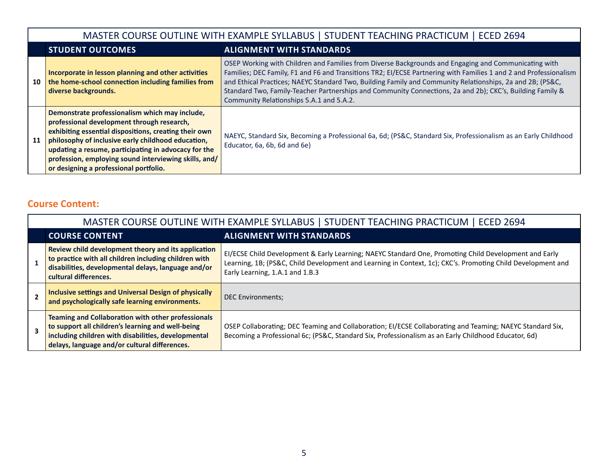|    |                                                                                                                                                                                                                                                                                                                                                                        | MASTER COURSE OUTLINE WITH EXAMPLE SYLLABUS   STUDENT TEACHING PRACTICUM   ECED 2694                                                                                                                                                                                                                                                                                                                                                                                                            |  |
|----|------------------------------------------------------------------------------------------------------------------------------------------------------------------------------------------------------------------------------------------------------------------------------------------------------------------------------------------------------------------------|-------------------------------------------------------------------------------------------------------------------------------------------------------------------------------------------------------------------------------------------------------------------------------------------------------------------------------------------------------------------------------------------------------------------------------------------------------------------------------------------------|--|
|    | <b>STUDENT OUTCOMES</b>                                                                                                                                                                                                                                                                                                                                                | <b>ALIGNMENT WITH STANDARDS</b>                                                                                                                                                                                                                                                                                                                                                                                                                                                                 |  |
| 10 | Incorporate in lesson planning and other activities<br>the home-school connection including families from<br>diverse backgrounds.                                                                                                                                                                                                                                      | OSEP Working with Children and Families from Diverse Backgrounds and Engaging and Communicating with<br>Families; DEC Family, F1 and F6 and Transitions TR2; El/ECSE Partnering with Families 1 and 2 and Professionalism<br>and Ethical Practices; NAEYC Standard Two, Building Family and Community Relationships, 2a and 2B; (PS&C,<br>Standard Two, Family-Teacher Partnerships and Community Connections, 2a and 2b); CKC's, Building Family &<br>Community Relationships 5.A.1 and 5.A.2. |  |
| 11 | Demonstrate professionalism which may include,<br>professional development through research,<br>exhibiting essential dispositions, creating their own<br>philosophy of inclusive early childhood education,<br>updating a resume, participating in advocacy for the<br>profession, employing sound interviewing skills, and/<br>or designing a professional portfolio. | NAEYC, Standard Six, Becoming a Professional 6a, 6d; (PS&C, Standard Six, Professionalism as an Early Childhood<br>Educator, 6a, 6b, 6d and 6e)                                                                                                                                                                                                                                                                                                                                                 |  |

## **Course Content:**

| MASTER COURSE OUTLINE WITH EXAMPLE SYLLABUS   STUDENT TEACHING PRACTICUM   ECED 2694                                                                                                                                   |                                                                                                                                                                                                                                                         |  |  |  |
|------------------------------------------------------------------------------------------------------------------------------------------------------------------------------------------------------------------------|---------------------------------------------------------------------------------------------------------------------------------------------------------------------------------------------------------------------------------------------------------|--|--|--|
| <b>COURSE CONTENT</b>                                                                                                                                                                                                  | <b>ALIGNMENT WITH STANDARDS</b>                                                                                                                                                                                                                         |  |  |  |
| Review child development theory and its application<br>to practice with all children including children with<br>disabilities, developmental delays, language and/or<br>cultural differences.                           | EI/ECSE Child Development & Early Learning; NAEYC Standard One, Promoting Child Development and Early<br>Learning, 1B; (PS&C, Child Development and Learning in Context, 1c); CKC's. Promoting Child Development and<br>Early Learning, 1.A.1 and 1.B.3 |  |  |  |
| Inclusive settings and Universal Design of physically<br>and psychologically safe learning environments.                                                                                                               | <b>DEC Environments;</b>                                                                                                                                                                                                                                |  |  |  |
| <b>Teaming and Collaboration with other professionals</b><br>to support all children's learning and well-being<br>including children with disabilities, developmental<br>delays, language and/or cultural differences. | OSEP Collaborating; DEC Teaming and Collaboration; EI/ECSE Collaborating and Teaming; NAEYC Standard Six,<br>Becoming a Professional 6c; (PS&C, Standard Six, Professionalism as an Early Childhood Educator, 6d)                                       |  |  |  |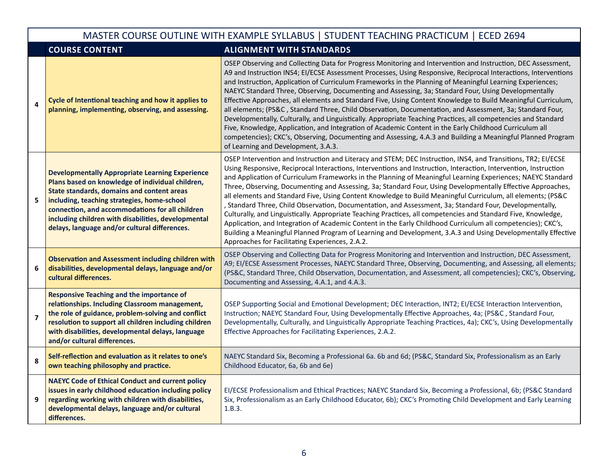|                | MASTER COURSE OUTLINE WITH EXAMPLE SYLLABUS   STUDENT TEACHING PRACTICUM   ECED 2694                                                                                                                                                                                                                                                                               |                                                                                                                                                                                                                                                                                                                                                                                                                                                                                                                                                                                                                                                                                                                                                                                                                                                                                                                                                                                                                                                                                                |  |  |
|----------------|--------------------------------------------------------------------------------------------------------------------------------------------------------------------------------------------------------------------------------------------------------------------------------------------------------------------------------------------------------------------|------------------------------------------------------------------------------------------------------------------------------------------------------------------------------------------------------------------------------------------------------------------------------------------------------------------------------------------------------------------------------------------------------------------------------------------------------------------------------------------------------------------------------------------------------------------------------------------------------------------------------------------------------------------------------------------------------------------------------------------------------------------------------------------------------------------------------------------------------------------------------------------------------------------------------------------------------------------------------------------------------------------------------------------------------------------------------------------------|--|--|
|                | <b>COURSE CONTENT</b>                                                                                                                                                                                                                                                                                                                                              | <b>ALIGNMENT WITH STANDARDS</b>                                                                                                                                                                                                                                                                                                                                                                                                                                                                                                                                                                                                                                                                                                                                                                                                                                                                                                                                                                                                                                                                |  |  |
| 4              | Cycle of Intentional teaching and how it applies to<br>planning, implementing, observing, and assessing.                                                                                                                                                                                                                                                           | OSEP Observing and Collecting Data for Progress Monitoring and Intervention and Instruction, DEC Assessment,<br>A9 and Instruction INS4; EI/ECSE Assessment Processes, Using Responsive, Reciprocal Interactions, Interventions<br>and Instruction, Application of Curriculum Frameworks in the Planning of Meaningful Learning Experiences;<br>NAEYC Standard Three, Observing, Documenting and Assessing, 3a; Standard Four, Using Developmentally<br>Effective Approaches, all elements and Standard Five, Using Content Knowledge to Build Meaningful Curriculum,<br>all elements; (PS&C, Standard Three, Child Observation, Documentation, and Assessment, 3a; Standard Four,<br>Developmentally, Culturally, and Linguistically. Appropriate Teaching Practices, all competencies and Standard<br>Five, Knowledge, Application, and Integration of Academic Content in the Early Childhood Curriculum all<br>competencies); CKC's, Observing, Documenting and Assessing, 4.A.3 and Building a Meaningful Planned Program<br>of Learning and Development, 3.A.3.                          |  |  |
| 5              | <b>Developmentally Appropriate Learning Experience</b><br>Plans based on knowledge of individual children,<br>State standards, domains and content areas<br>including, teaching strategies, home-school<br>connection, and accommodations for all children<br>including children with disabilities, developmental<br>delays, language and/or cultural differences. | OSEP Intervention and Instruction and Literacy and STEM; DEC Instruction, INS4, and Transitions, TR2; EI/ECSE<br>Using Responsive, Reciprocal Interactions, Interventions and Instruction, Interaction, Intervention, Instruction<br>and Application of Curriculum Frameworks in the Planning of Meaningful Learning Experiences; NAEYC Standard<br>Three, Observing, Documenting and Assessing, 3a; Standard Four, Using Developmentally Effective Approaches,<br>all elements and Standard Five, Using Content Knowledge to Build Meaningful Curriculum, all elements; (PS&C<br>, Standard Three, Child Observation, Documentation, and Assessment, 3a; Standard Four, Developmentally,<br>Culturally, and Linguistically. Appropriate Teaching Practices, all competencies and Standard Five, Knowledge,<br>Application, and Integration of Academic Content in the Early Childhood Curriculum all competencies); CKC's,<br>Building a Meaningful Planned Program of Learning and Development, 3.A.3 and Using Developmentally Effective<br>Approaches for Facilitating Experiences, 2.A.2. |  |  |
| 6              | <b>Observation and Assessment including children with</b><br>disabilities, developmental delays, language and/or<br>cultural differences.                                                                                                                                                                                                                          | OSEP Observing and Collecting Data for Progress Monitoring and Intervention and Instruction, DEC Assessment,<br>A9; EI/ECSE Assessment Processes, NAEYC Standard Three, Observing, Documenting, and Assessing, all elements;<br>(PS&C, Standard Three, Child Observation, Documentation, and Assessment, all competencies); CKC's, Observing,<br>Documenting and Assessing, 4.A.1, and 4.A.3.                                                                                                                                                                                                                                                                                                                                                                                                                                                                                                                                                                                                                                                                                                  |  |  |
| $\overline{7}$ | <b>Responsive Teaching and the importance of</b><br>relationships. Including Classroom management,<br>the role of guidance, problem-solving and conflict<br>resolution to support all children including children<br>with disabilities, developmental delays, language<br>and/or cultural differences.                                                             | OSEP Supporting Social and Emotional Development; DEC Interaction, INT2; EI/ECSE Interaction Intervention,<br>Instruction; NAEYC Standard Four, Using Developmentally Effective Approaches, 4a; (PS&C, Standard Four,<br>Developmentally, Culturally, and Linguistically Appropriate Teaching Practices, 4a); CKC's, Using Developmentally<br>Effective Approaches for Facilitating Experiences, 2.A.2.                                                                                                                                                                                                                                                                                                                                                                                                                                                                                                                                                                                                                                                                                        |  |  |
| 8              | Self-reflection and evaluation as it relates to one's<br>own teaching philosophy and practice.                                                                                                                                                                                                                                                                     | NAEYC Standard Six, Becoming a Professional 6a. 6b and 6d; (PS&C, Standard Six, Professionalism as an Early<br>Childhood Educator, 6a, 6b and 6e)                                                                                                                                                                                                                                                                                                                                                                                                                                                                                                                                                                                                                                                                                                                                                                                                                                                                                                                                              |  |  |
| 9              | <b>NAEYC Code of Ethical Conduct and current policy</b><br>issues in early childhood education including policy<br>regarding working with children with disabilities,<br>developmental delays, language and/or cultural<br>differences.                                                                                                                            | EI/ECSE Professionalism and Ethical Practices; NAEYC Standard Six, Becoming a Professional, 6b; (PS&C Standard<br>Six, Professionalism as an Early Childhood Educator, 6b); CKC's Promoting Child Development and Early Learning<br>1.B.3.                                                                                                                                                                                                                                                                                                                                                                                                                                                                                                                                                                                                                                                                                                                                                                                                                                                     |  |  |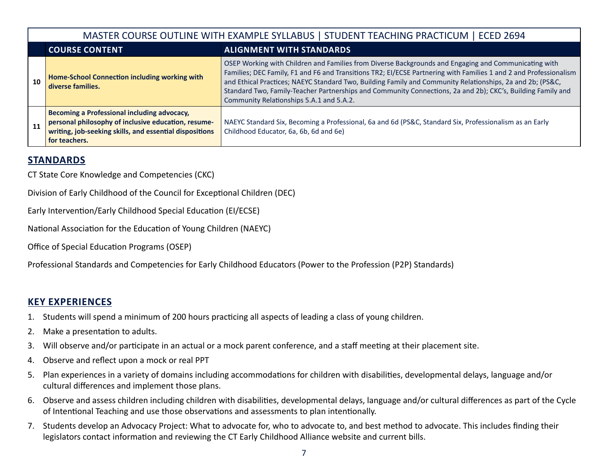|    |                                                                                                                                                                                | MASTER COURSE OUTLINE WITH EXAMPLE SYLLABUS   STUDENT TEACHING PRACTICUM   ECED 2694                                                                                                                                                                                                                                                                                                                                                                                                              |  |  |
|----|--------------------------------------------------------------------------------------------------------------------------------------------------------------------------------|---------------------------------------------------------------------------------------------------------------------------------------------------------------------------------------------------------------------------------------------------------------------------------------------------------------------------------------------------------------------------------------------------------------------------------------------------------------------------------------------------|--|--|
|    | <b>COURSE CONTENT</b>                                                                                                                                                          | <b>ALIGNMENT WITH STANDARDS</b>                                                                                                                                                                                                                                                                                                                                                                                                                                                                   |  |  |
| 10 | Home-School Connection including working with<br>diverse families.                                                                                                             | OSEP Working with Children and Families from Diverse Backgrounds and Engaging and Communicating with<br>Families; DEC Family, F1 and F6 and Transitions TR2; EI/ECSE Partnering with Families 1 and 2 and Professionalism<br>and Ethical Practices; NAEYC Standard Two, Building Family and Community Relationships, 2a and 2b; (PS&C,<br>Standard Two, Family-Teacher Partnerships and Community Connections, 2a and 2b); CKC's, Building Family and<br>Community Relationships 5.A.1 and 5.A.2. |  |  |
| 11 | Becoming a Professional including advocacy,<br>personal philosophy of inclusive education, resume-<br>writing, job-seeking skills, and essential dispositions<br>for teachers. | NAEYC Standard Six, Becoming a Professional, 6a and 6d (PS&C, Standard Six, Professionalism as an Early<br>Childhood Educator, 6a, 6b, 6d and 6e)                                                                                                                                                                                                                                                                                                                                                 |  |  |

## **STANDARDS**

CT State Core Knowledge and Competencies (CKC)

Division of Early Childhood of the Council for Exceptional Children (DEC)

Early Intervention/Early Childhood Special Education (EI/ECSE)

National Association for the Education of Young Children (NAEYC)

Office of Special Education Programs (OSEP)

Professional Standards and Competencies for Early Childhood Educators (Power to the Profession (P2P) Standards)

## **KEY EXPERIENCES**

- 1. Students will spend a minimum of 200 hours practicing all aspects of leading a class of young children.
- 2. Make a presentation to adults.
- 3. Will observe and/or participate in an actual or a mock parent conference, and a staff meeting at their placement site.
- 4. Observe and reflect upon a mock or real PPT
- 5. Plan experiences in a variety of domains including accommodations for children with disabilities, developmental delays, language and/or cultural differences and implement those plans.
- 6. Observe and assess children including children with disabilities, developmental delays, language and/or cultural differences as part of the Cycle of Intentional Teaching and use those observations and assessments to plan intentionally.
- 7. Students develop an Advocacy Project: What to advocate for, who to advocate to, and best method to advocate. This includes finding their legislators contact information and reviewing the CT Early Childhood Alliance website and current bills.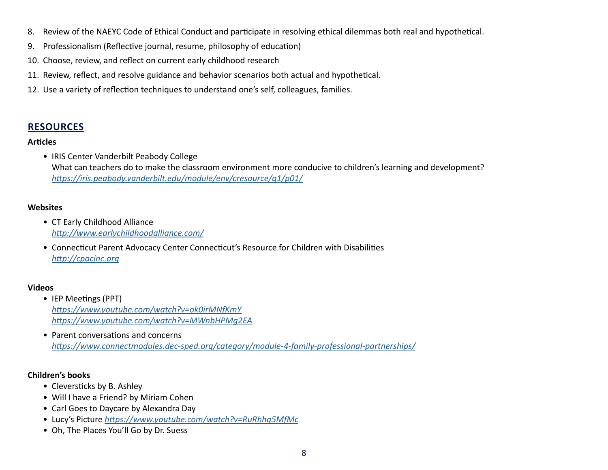- 8. Review of the NAEYC Code of Ethical Conduct and participate in resolving ethical dilemmas both real and hypothetical.
- 9. Professionalism (Reflective journal, resume, philosophy of education)
- 10. Choose, review, and reflect on current early childhood research
- 11. Review, reflect, and resolve guidance and behavior scenarios both actual and hypothetical.
- 12. Use a variety of reflection techniques to understand one's self, colleagues, families.

### **RESOURCES**

#### **Articles**

• IRIS Center Vanderbilt Peabody College What can teachers do to make the classroom environment more conducive to children's learning and development? *<https://iris.peabody.vanderbilt.edu/module/env/cresource/q1/p01/>*

#### **Websites**

- CT Early Childhood Alliance *[http://www.earlychildhoodalliance.com/](https://www.earlychildhoodalliance.com)*
- Connecticut Parent Advocacy Center Connecticut's Resource for Children with Disabilities *[http://cpacinc.org](https://cpacinc.org)*

#### **Videos**

- IEP Meetings (PPT) *<https://www.youtube.com/watch?v=ok0irMNfKmY> <https://www.youtube.com/watch?v=MWnbHPMg2EA>*
- Parent conversations and concerns *[https://www.connectmodules.dec-sped.org/category/module-4-family-professional-partnerships/](https://connectmodules.dec-sped.org/category/module-4-family-professional-partnerships/)*

#### **Children's books**

- Cleversticks by B. Ashley
- Will I have a Friend? by Miriam Cohen
- Carl Goes to Daycare by Alexandra Day
- Lucy's Picture *<https://www.youtube.com/watch?v=RuRhhq5MfMc>*
- Oh, The Places You'll Go by Dr. Suess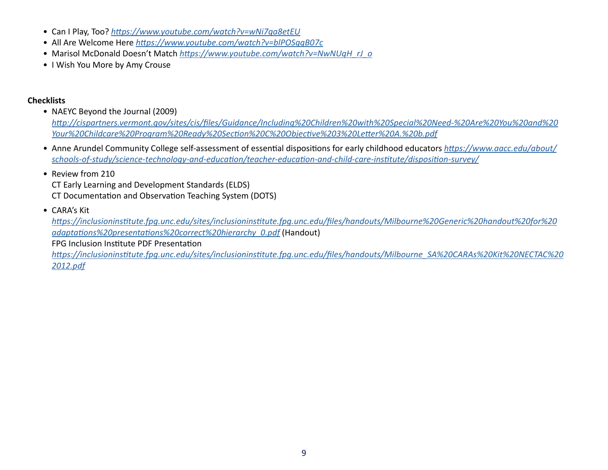- Can I Play, Too? *<https://www.youtube.com/watch?v=wNi7qa8etEU>*
- All Are Welcome Here *<https://www.youtube.com/watch?v=blPOSggB07c>*
- Marisol McDonald Doesn't Match *[https://www.youtube.com/watch?v=NwNUqH\\_rJ\\_o](https://www.youtube.com/watch?v=NwNUqH_rJ_o)*
- I Wish You More by Amy Crouse

#### **Checklists**

• NAEYC Beyond the Journal (2009)

*[http://cispartners.vermont.gov/sites/cis/files/Guidance/Including%20Children%20with%20Special%20Need-%20Are%20You%20and%20](https://cispartners.vermont.gov/sites/cis/files/Guidance/Including%20Children%20with%20Special%20Need-%20Are%20You%20and%20Your%20Childcare%20Program%20Ready%20Section%20C%20Objective%203%20Letter%20A.%20b.pdf) [Your%20Childcare%20Program%20Ready%20Section%20C%20Objective%203%20Letter%20A.%20b.pdf](https://cispartners.vermont.gov/sites/cis/files/Guidance/Including%20Children%20with%20Special%20Need-%20Are%20You%20and%20Your%20Childcare%20Program%20Ready%20Section%20C%20Objective%203%20Letter%20A.%20b.pdf)*

• Anne Arundel Community College self-assessment of essential dispositions for early childhood educators *[https://www.aacc.edu/about/](https://www.aacc.edu/about/schools-of-study/science-technology-and-education/teacher-education-and-child-care-institute/disposition-survey/) [schools-of-study/science-technology-and-education/teacher-education-and-child-care-institute/disposition-survey/](https://www.aacc.edu/about/schools-of-study/science-technology-and-education/teacher-education-and-child-care-institute/disposition-survey/)*

#### • Review from 210

CT Early Learning and Development Standards (ELDS) CT Documentation and Observation Teaching System (DOTS)

• CARA's Kit

*[https://inclusioninstitute.fpg.unc.edu/sites/inclusioninstitute.fpg.unc.edu/files/handouts/Milbourne%20Generic%20handout%20for%20](https://inclusioninstitute.fpg.unc.edu/sites/inclusioninstitute.fpg.unc.edu/files/handouts/Milbourne%20Generic%20handout%20for%20adaptations%20presentations%20correct%20hierarchy_0.pdf) [adaptations%20presentations%20correct%20hierarchy\\_0.pdf](https://inclusioninstitute.fpg.unc.edu/sites/inclusioninstitute.fpg.unc.edu/files/handouts/Milbourne%20Generic%20handout%20for%20adaptations%20presentations%20correct%20hierarchy_0.pdf)* (Handout)

FPG Inclusion Institute PDF Presentation

*[https://inclusioninstitute.fpg.unc.edu/sites/inclusioninstitute.fpg.unc.edu/files/handouts/Milbourne\\_SA%20CARAs%20Kit%20NECTAC%20](https://inclusioninstitute.fpg.unc.edu/sites/inclusioninstitute.fpg.unc.edu/files/handouts/Milbourne_SA%20CARAs%20Kit%20NECTAC%202012.pdf) [2012.pdf](https://inclusioninstitute.fpg.unc.edu/sites/inclusioninstitute.fpg.unc.edu/files/handouts/Milbourne_SA%20CARAs%20Kit%20NECTAC%202012.pdf)*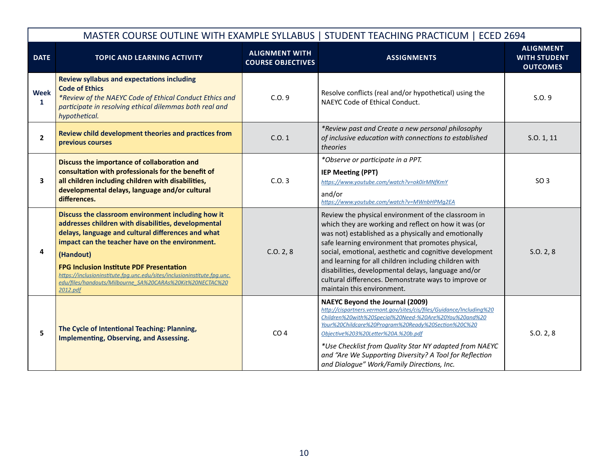|                         |                                                                                                                                                                                                                                                                                                                                                                                                                                         |                                                   | MASTER COURSE OUTLINE WITH EXAMPLE SYLLABUS   STUDENT TEACHING PRACTICUM   ECED 2694                                                                                                                                                                                                                                                                                                                                                                                                     |                                                            |
|-------------------------|-----------------------------------------------------------------------------------------------------------------------------------------------------------------------------------------------------------------------------------------------------------------------------------------------------------------------------------------------------------------------------------------------------------------------------------------|---------------------------------------------------|------------------------------------------------------------------------------------------------------------------------------------------------------------------------------------------------------------------------------------------------------------------------------------------------------------------------------------------------------------------------------------------------------------------------------------------------------------------------------------------|------------------------------------------------------------|
| <b>DATE</b>             | <b>TOPIC AND LEARNING ACTIVITY</b>                                                                                                                                                                                                                                                                                                                                                                                                      | <b>ALIGNMENT WITH</b><br><b>COURSE OBJECTIVES</b> | <b>ASSIGNMENTS</b>                                                                                                                                                                                                                                                                                                                                                                                                                                                                       | <b>ALIGNMENT</b><br><b>WITH STUDENT</b><br><b>OUTCOMES</b> |
| <b>Week</b><br>1        | <b>Review syllabus and expectations including</b><br><b>Code of Ethics</b><br>*Review of the NAEYC Code of Ethical Conduct Ethics and<br>participate in resolving ethical dilemmas both real and<br>hypothetical.                                                                                                                                                                                                                       | C.0.9                                             | Resolve conflicts (real and/or hypothetical) using the<br>NAEYC Code of Ethical Conduct.                                                                                                                                                                                                                                                                                                                                                                                                 | S.0.9                                                      |
| $\overline{\mathbf{2}}$ | Review child development theories and practices from<br>previous courses                                                                                                                                                                                                                                                                                                                                                                | C.0.1                                             | *Review past and Create a new personal philosophy<br>of inclusive education with connections to established<br>theories                                                                                                                                                                                                                                                                                                                                                                  | S.O. 1, 11                                                 |
| 3                       | Discuss the importance of collaboration and<br>consultation with professionals for the benefit of<br>all children including children with disabilities,<br>developmental delays, language and/or cultural<br>differences.                                                                                                                                                                                                               | C.0.3                                             | *Observe or participate in a PPT.<br><b>IEP Meeting (PPT)</b><br>https://www.youtube.com/watch?v=ok0irMNfKmY<br>and/or<br>https://www.youtube.com/watch?v=MWnbHPMg2EA                                                                                                                                                                                                                                                                                                                    | SO <sub>3</sub>                                            |
| 4                       | Discuss the classroom environment including how it<br>addresses children with disabilities, developmental<br>delays, language and cultural differences and what<br>impact can the teacher have on the environment.<br>(Handout)<br><b>FPG Inclusion Institute PDF Presentation</b><br>https://inclusioninstitute.fpq.unc.edu/sites/inclusioninstitute.fpq.unc.<br>edu/files/handouts/Milbourne_SA%20CARAs%20Kit%20NECTAC%20<br>2012.pdf | C.0.2, 8                                          | Review the physical environment of the classroom in<br>which they are working and reflect on how it was (or<br>was not) established as a physically and emotionally<br>safe learning environment that promotes physical,<br>social, emotional, aesthetic and cognitive development<br>and learning for all children including children with<br>disabilities, developmental delays, language and/or<br>cultural differences. Demonstrate ways to improve or<br>maintain this environment. | S.0.2, 8                                                   |
| 5                       | The Cycle of Intentional Teaching: Planning,<br>Implementing, Observing, and Assessing.                                                                                                                                                                                                                                                                                                                                                 | CO <sub>4</sub>                                   | <b>NAEYC Beyond the Journal (2009)</b><br>http://cispartners.vermont.gov/sites/cis/files/Guidance/Including%20<br>Children%20with%20Special%20Need-%20Are%20You%20and%20<br>Your%20Childcare%20Program%20Ready%20Section%20C%20<br>Objective%203%20Letter%20A.%20b.pdf<br>*Use Checklist from Quality Star NY adapted from NAEYC<br>and "Are We Supporting Diversity? A Tool for Reflection<br>and Dialoque" Work/Family Directions, Inc.                                                | S.0.2, 8                                                   |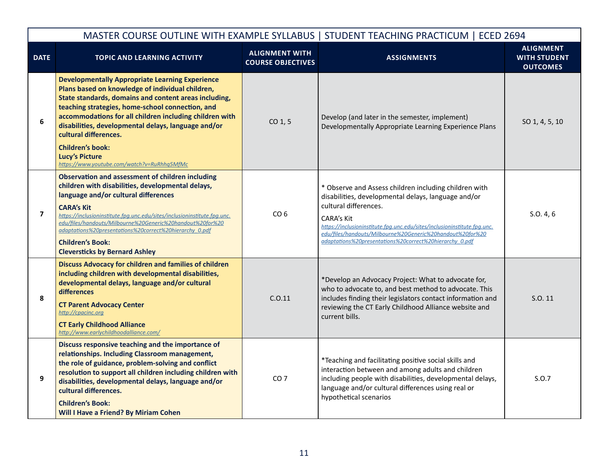|                |                                                                                                                                                                                                                                                                                                                                                                                                                                                                       |                                                   | MASTER COURSE OUTLINE WITH EXAMPLE SYLLABUS   STUDENT TEACHING PRACTICUM   ECED 2694                                                                                                                                                                                                                                                                           |                                                            |
|----------------|-----------------------------------------------------------------------------------------------------------------------------------------------------------------------------------------------------------------------------------------------------------------------------------------------------------------------------------------------------------------------------------------------------------------------------------------------------------------------|---------------------------------------------------|----------------------------------------------------------------------------------------------------------------------------------------------------------------------------------------------------------------------------------------------------------------------------------------------------------------------------------------------------------------|------------------------------------------------------------|
| <b>DATE</b>    | <b>TOPIC AND LEARNING ACTIVITY</b>                                                                                                                                                                                                                                                                                                                                                                                                                                    | <b>ALIGNMENT WITH</b><br><b>COURSE OBJECTIVES</b> | <b>ASSIGNMENTS</b>                                                                                                                                                                                                                                                                                                                                             | <b>ALIGNMENT</b><br><b>WITH STUDENT</b><br><b>OUTCOMES</b> |
| 6              | <b>Developmentally Appropriate Learning Experience</b><br>Plans based on knowledge of individual children,<br>State standards, domains and content areas including,<br>teaching strategies, home-school connection, and<br>accommodations for all children including children with<br>disabilities, developmental delays, language and/or<br>cultural differences.<br><b>Children's book:</b><br><b>Lucy's Picture</b><br>https://www.youtube.com/watch?v=RuRhhq5MfMc | $CO1$ , 5                                         | Develop (and later in the semester, implement)<br>Developmentally Appropriate Learning Experience Plans                                                                                                                                                                                                                                                        | SO 1, 4, 5, 10                                             |
| $\overline{7}$ | <b>Observation and assessment of children including</b><br>children with disabilities, developmental delays,<br>language and/or cultural differences<br><b>CARA's Kit</b><br>https://inclusioninstitute.fpg.unc.edu/sites/inclusioninstitute.fpg.unc.<br>edu/files/handouts/Milbourne%20Generic%20handout%20for%20<br>adaptations%20presentations%20correct%20hierarchy 0.pdf<br><b>Children's Book:</b><br><b>Cleversticks by Bernard Ashley</b>                     | CO <sub>6</sub>                                   | * Observe and Assess children including children with<br>disabilities, developmental delays, language and/or<br>cultural differences.<br><b>CARA's Kit</b><br>https://inclusioninstitute.fpg.unc.edu/sites/inclusioninstitute.fpg.unc.<br>edu/files/handouts/Milbourne%20Generic%20handout%20for%20<br>adaptations%20presentations%20correct%20hierarchy 0.pdf | S.O. 4, 6                                                  |
| 8              | <b>Discuss Advocacy for children and families of children</b><br>including children with developmental disabilities,<br>developmental delays, language and/or cultural<br>differences<br><b>CT Parent Advocacy Center</b><br>http://cpacinc.org<br><b>CT Early Childhood Alliance</b><br>http://www.earlychildhoodalliance.com/                                                                                                                                       | C.0.11                                            | *Develop an Advocacy Project: What to advocate for,<br>who to advocate to, and best method to advocate. This<br>includes finding their legislators contact information and<br>reviewing the CT Early Childhood Alliance website and<br>current bills.                                                                                                          | S.O. 11                                                    |
| 9              | Discuss responsive teaching and the importance of<br>relationships. Including Classroom management,<br>the role of guidance, problem-solving and conflict<br>resolution to support all children including children with<br>disabilities, developmental delays, language and/or<br>cultural differences.<br><b>Children's Book:</b><br>Will I Have a Friend? By Miriam Cohen                                                                                           | CO <sub>7</sub>                                   | *Teaching and facilitating positive social skills and<br>interaction between and among adults and children<br>including people with disabilities, developmental delays,<br>language and/or cultural differences using real or<br>hypothetical scenarios                                                                                                        | S.0.7                                                      |